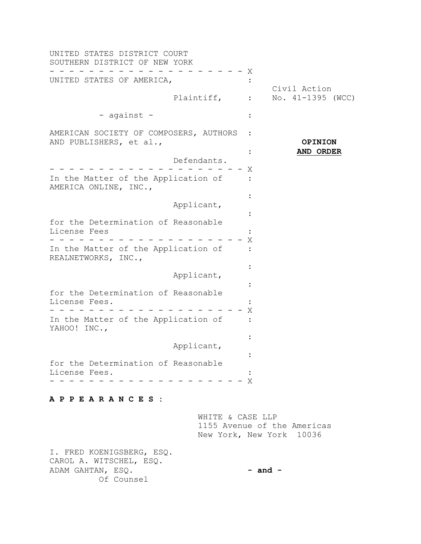| UNITED STATES DISTRICT COURT<br>SOUTHERN DISTRICT OF NEW YORK     |             |                  |                                                         |
|-------------------------------------------------------------------|-------------|------------------|---------------------------------------------------------|
| UNITED STATES OF AMERICA,                                         |             | Χ                |                                                         |
|                                                                   | Plaintiff,  |                  | Civil Action<br>No. $41-1395$ (WCC)                     |
| - against -                                                       |             |                  |                                                         |
| AMERICAN SOCIETY OF COMPOSERS, AUTHORS<br>AND PUBLISHERS, et al., |             |                  | <b>OPINION</b>                                          |
|                                                                   | Defendants. |                  | AND ORDER                                               |
| In the Matter of the Application of<br>AMERICA ONLINE, INC.,      |             | Χ                |                                                         |
|                                                                   | Applicant,  |                  |                                                         |
| for the Determination of Reasonable<br>License Fees               |             | Χ                |                                                         |
| In the Matter of the Application of<br>REALNETWORKS, INC.,        |             |                  |                                                         |
|                                                                   | Applicant,  |                  |                                                         |
| for the Determination of Reasonable<br>License Fees.              |             | Χ                |                                                         |
| In the Matter of the Application of<br>YAHOO! INC.,               |             |                  |                                                         |
|                                                                   | Applicant,  |                  |                                                         |
| for the Determination of Reasonable<br>License Fees.              |             | – X              |                                                         |
| APPEARANCES :                                                     |             |                  |                                                         |
|                                                                   |             | WHITE & CASE LLP | 1155 Avenue of the Americas<br>New York, New York 10036 |
| I. FRED KOENIGSBERG, ESQ.<br>CAROL A. WITSCHEL, ESQ.              |             |                  |                                                         |

ADAM GAHTAN, ESQ. Of Counsel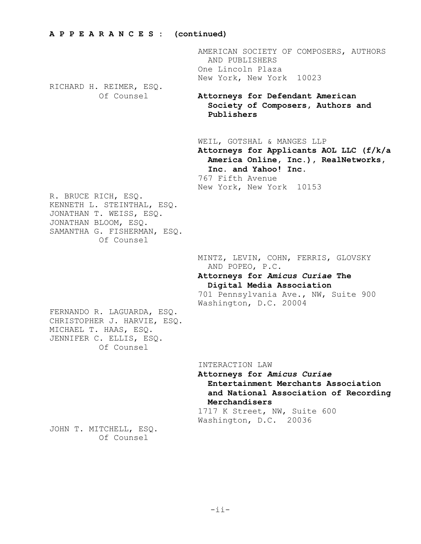RICHARD H. REIMER, ESQ.

AMERICAN SOCIETY OF COMPOSERS, AUTHORS AND PUBLISHERS One Lincoln Plaza New York, New York 10023

Of Counsel **Attorneys for Defendant American Society of Composers, Authors and Publishers**

WEIL, GOTSHAL & MANGES LLP

**Attorneys for Applicants AOL LLC (f/k/a America Online, Inc.), RealNetworks, Inc. and Yahoo! Inc.**

767 Fifth Avenue New York, New York 10153

R. BRUCE RICH, ESQ. KENNETH L. STEINTHAL, ESQ. JONATHAN T. WEISS, ESQ. JONATHAN BLOOM, ESQ. SAMANTHA G. FISHERMAN, ESQ. Of Counsel

> MINTZ, LEVIN, COHN, FERRIS, GLOVSKY AND POPEO, P.C.

## **Attorneys for** *Amicus Curiae* **The Digital Media Association**

701 Pennsylvania Ave., NW, Suite 900 Washington, D.C. 20004

FERNANDO R. LAGUARDA, ESQ. CHRISTOPHER J. HARVIE, ESQ. MICHAEL T. HAAS, ESQ. JENNIFER C. ELLIS, ESQ. Of Counsel

INTERACTION LAW

**Attorneys for** *Amicus Curiae*  **Entertainment Merchants Association and National Association of Recording Merchandisers**

1717 K Street, NW, Suite 600 Washington, D.C. 20036

JOHN T. MITCHELL, ESQ. Of Counsel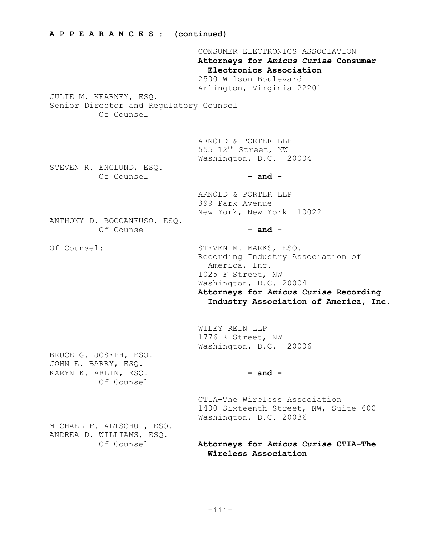CONSUMER ELECTRONICS ASSOCIATION **Attorneys for** *Amicus Curiae* **Consumer Electronics Association** 2500 Wilson Boulevard Arlington, Virginia 22201 JULIE M. KEARNEY, ESQ. Senior Director and Regulatory Counsel Of Counsel ARNOLD & PORTER LLP 555  $12^{th}$  Street, NW Washington, D.C. 20004 STEVEN R. ENGLUND, ESQ.  $Of Connsel$  **- and -**ARNOLD & PORTER LLP 399 Park Avenue New York, New York 10022 ANTHONY D. BOCCANFUSO, ESQ. Of Counsel **- and -** Of Counsel: STEVEN M. MARKS, ESQ. Recording Industry Association of America, Inc. 1025 F Street, NW Washington, D.C. 20004 **Attorneys for** *Amicus Curiae* **Recording Industry Association of America, Inc.** WILEY REIN LLP 1776 K Street, NW Washington, D.C. 20006 BRUCE G. JOSEPH, ESQ. JOHN E. BARRY, ESQ. KARYN K. ABLIN, ESQ. **- and -**Of Counsel CTIA–The Wireless Association 1400 Sixteenth Street, NW, Suite 600 Washington, D.C. 20036 MICHAEL F. ALTSCHUL, ESQ. ANDREA D. WILLIAMS, ESQ.

**A P P E A R A N C E S : (continued)**

Of Counsel **Attorneys for** *Amicus Curiae* **CTIA–The Wireless Association**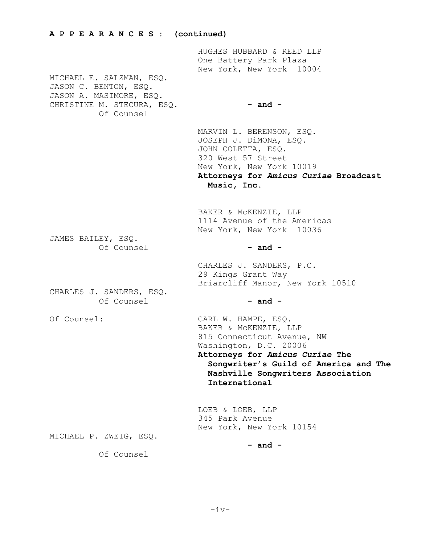#### **A P P E A R A N C E S : (continued)**

MICHAEL E. SALZMAN, ESQ. JASON C. BENTON, ESQ. JASON A. MASIMORE, ESQ. CHRISTINE M. STECURA, ESQ. **- and -** Of Counsel

HUGHES HUBBARD & REED LLP One Battery Park Plaza New York, New York 10004

MARVIN L. BERENSON, ESQ. JOSEPH J. DiMONA, ESQ. JOHN COLETTA, ESQ. 320 West 57 Street New York, New York 10019 **Attorneys for** *Amicus Curiae* **Broadcast Music, Inc.**

BAKER & McKENZIE, LLP 1114 Avenue of the Americas New York, New York 10036

JAMES BAILEY, ESQ. Of Counsel **- and -**

CHARLES J. SANDERS, ESQ. Of Counsel **- and -**

29 Kings Grant Way Briarcliff Manor, New York 10510

CHARLES J. SANDERS, P.C.

Of Counsel: CARL W. HAMPE, ESQ. BAKER & McKENZIE, LLP 815 Connecticut Avenue, NW Washington, D.C. 20006

> **Attorneys for** *Amicus Curiae* **The Songwriter's Guild of America and The Nashville Songwriters Association International**

LOEB & LOEB, LLP 345 Park Avenue New York, New York 10154

MICHAEL P. ZWEIG, ESQ.

**- and -**

Of Counsel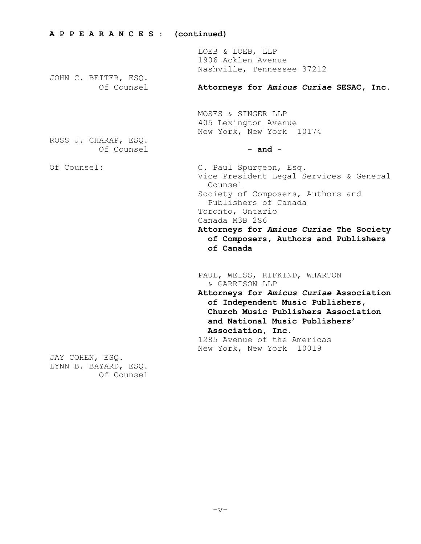| A P P E A R A N C E S : (continued) |                                                                                                                                                                                                                                                                                 |  |
|-------------------------------------|---------------------------------------------------------------------------------------------------------------------------------------------------------------------------------------------------------------------------------------------------------------------------------|--|
| JOHN C. BEITER, ESQ.                | LOEB & LOEB, LLP<br>1906 Acklen Avenue<br>Nashville, Tennessee 37212                                                                                                                                                                                                            |  |
| Of Counsel                          | Attorneys for Amicus Curiae SESAC, Inc.                                                                                                                                                                                                                                         |  |
|                                     | MOSES & SINGER LLP<br>405 Lexington Avenue<br>New York, New York 10174                                                                                                                                                                                                          |  |
| ROSS J. CHARAP, ESQ.<br>Of Counsel  | $-$ and $-$                                                                                                                                                                                                                                                                     |  |
| Of Counsel:                         | C. Paul Spurgeon, Esq.<br>Vice President Legal Services & General<br>Counsel<br>Society of Composers, Authors and<br>Publishers of Canada<br>Toronto, Ontario<br>Canada M3B 2S6<br>Attorneys for Amicus Curiae The Society<br>of Composers, Authors and Publishers<br>of Canada |  |
|                                     | PAUL, WEISS, RIFKIND, WHARTON<br>& GARRISON LLP<br>Attorneys for Amicus Curiae Association                                                                                                                                                                                      |  |
|                                     | of Independent Music Publishers,<br>Church Music Publishers Association<br>and National Music Publishers'<br>Association, Inc.<br>1285 Avenue of the Americas                                                                                                                   |  |
| JAY COHEN, ESQ.                     | New York, New York 10019                                                                                                                                                                                                                                                        |  |
| LYNN B. BAYARD, ESQ.                |                                                                                                                                                                                                                                                                                 |  |

Of Counsel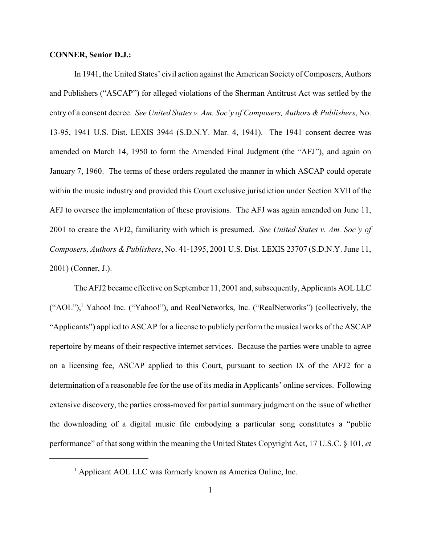## **CONNER, Senior D.J.:**

In 1941, the United States' civil action against the American Society of Composers, Authors and Publishers ("ASCAP") for alleged violations of the Sherman Antitrust Act was settled by the entry of a consent decree. *See United States v. Am. Soc'y of Composers, Authors & Publishers*, No. 13-95, 1941 U.S. Dist. LEXIS 3944 (S.D.N.Y. Mar. 4, 1941). The 1941 consent decree was amended on March 14, 1950 to form the Amended Final Judgment (the "AFJ"), and again on January 7, 1960. The terms of these orders regulated the manner in which ASCAP could operate within the music industry and provided this Court exclusive jurisdiction under Section XVII of the AFJ to oversee the implementation of these provisions. The AFJ was again amended on June 11, 2001 to create the AFJ2, familiarity with which is presumed. *See United States v. Am. Soc'y of Composers, Authors & Publishers*, No. 41-1395, 2001 U.S. Dist. LEXIS 23707 (S.D.N.Y. June 11, 2001) (Conner, J.).

The AFJ2 became effective on September 11, 2001 and, subsequently, Applicants AOL LLC ("AOL"),<sup>1</sup> Yahoo! Inc. ("Yahoo!"), and RealNetworks, Inc. ("RealNetworks") (collectively, the "Applicants") applied to ASCAP for a license to publicly perform the musical works of the ASCAP repertoire by means of their respective internet services. Because the parties were unable to agree on a licensing fee, ASCAP applied to this Court, pursuant to section IX of the AFJ2 for a determination of a reasonable fee for the use of its media in Applicants' online services. Following extensive discovery, the parties cross-moved for partial summary judgment on the issue of whether the downloading of a digital music file embodying a particular song constitutes a "public performance" of that song within the meaning the United States Copyright Act, 17 U.S.C. § 101, *et*

 $<sup>1</sup>$  Applicant AOL LLC was formerly known as America Online, Inc.</sup>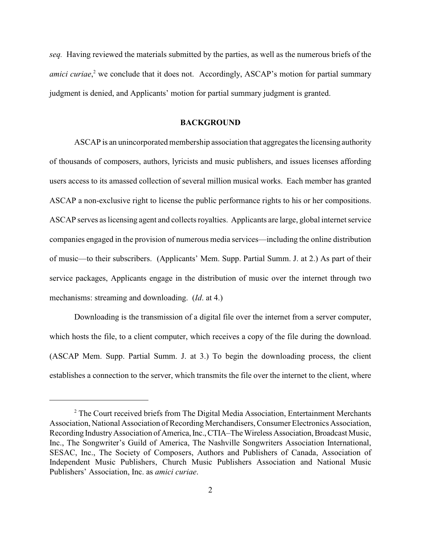*seq.* Having reviewed the materials submitted by the parties, as well as the numerous briefs of the *amici curiae*,<sup>2</sup> we conclude that it does not. Accordingly, ASCAP's motion for partial summary judgment is denied, and Applicants' motion for partial summary judgment is granted.

#### **BACKGROUND**

ASCAP is an unincorporated membership association that aggregates the licensing authority of thousands of composers, authors, lyricists and music publishers, and issues licenses affording users access to its amassed collection of several million musical works. Each member has granted ASCAP a non-exclusive right to license the public performance rights to his or her compositions. ASCAP serves as licensing agent and collects royalties. Applicants are large, global internet service companies engaged in the provision of numerous media services—including the online distribution of music—to their subscribers. (Applicants' Mem. Supp. Partial Summ. J. at 2.) As part of their service packages, Applicants engage in the distribution of music over the internet through two mechanisms: streaming and downloading. (*Id*. at 4.)

Downloading is the transmission of a digital file over the internet from a server computer, which hosts the file, to a client computer, which receives a copy of the file during the download. (ASCAP Mem. Supp. Partial Summ. J. at 3.) To begin the downloading process, the client establishes a connection to the server, which transmits the file over the internet to the client, where

<sup>&</sup>lt;sup>2</sup> The Court received briefs from The Digital Media Association, Entertainment Merchants Association, National Association of Recording Merchandisers, Consumer Electronics Association, Recording Industry Association of America, Inc., CTIA–The Wireless Association, Broadcast Music, Inc., The Songwriter's Guild of America, The Nashville Songwriters Association International, SESAC, Inc., The Society of Composers, Authors and Publishers of Canada, Association of Independent Music Publishers, Church Music Publishers Association and National Music Publishers' Association, Inc. as *amici curiae*.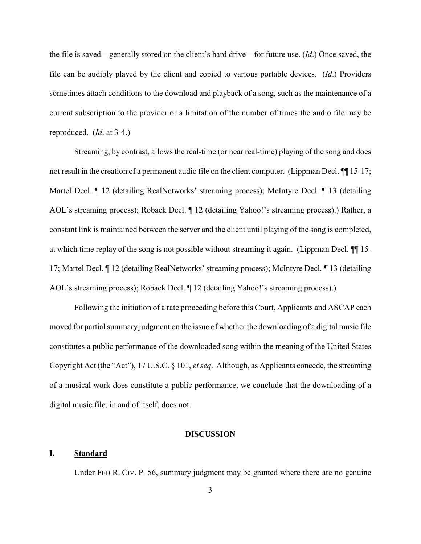the file is saved—generally stored on the client's hard drive—for future use. (*Id*.) Once saved, the file can be audibly played by the client and copied to various portable devices. (*Id*.) Providers sometimes attach conditions to the download and playback of a song, such as the maintenance of a current subscription to the provider or a limitation of the number of times the audio file may be reproduced. (*Id*. at 3-4.)

Streaming, by contrast, allows the real-time (or near real-time) playing of the song and does not result in the creation of a permanent audio file on the client computer. (Lippman Decl.  $\P$  15-17; Martel Decl. ¶ 12 (detailing RealNetworks' streaming process); McIntyre Decl. ¶ 13 (detailing AOL's streaming process); Roback Decl.  $\P$  12 (detailing Yahoo!'s streaming process).) Rather, a constant link is maintained between the server and the client until playing of the song is completed, at which time replay of the song is not possible without streaming it again. (Lippman Decl. ¶¶ 15- 17; Martel Decl. ¶ 12 (detailing RealNetworks' streaming process); McIntyre Decl. ¶ 13 (detailing AOL's streaming process); Roback Decl. ¶ 12 (detailing Yahoo!'s streaming process).)

Following the initiation of a rate proceeding before this Court, Applicants and ASCAP each moved for partial summary judgment on the issue of whether the downloading of a digital music file constitutes a public performance of the downloaded song within the meaning of the United States Copyright Act (the "Act"), 17 U.S.C. § 101, *et seq*. Although, as Applicants concede, the streaming of a musical work does constitute a public performance, we conclude that the downloading of a digital music file, in and of itself, does not.

#### **DISCUSSION**

## **I. Standard**

Under FED R. CIV. P. 56, summary judgment may be granted where there are no genuine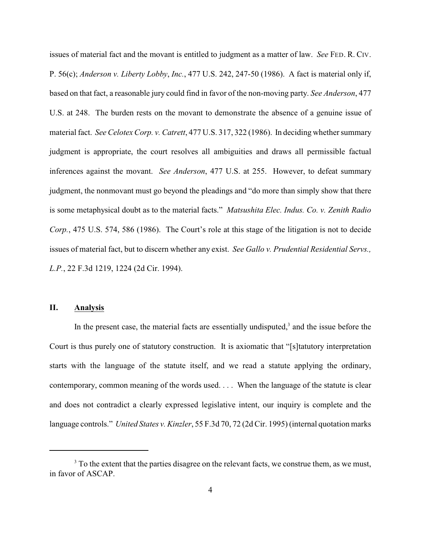issues of material fact and the movant is entitled to judgment as a matter of law. *See* FED. R. CIV. P. 56(c); *Anderson v. Liberty Lobby*, *Inc.*, 477 U.S. 242, 247-50 (1986). A fact is material only if, based on that fact, a reasonable jury could find in favor of the non-moving party. *See Anderson*, 477 U.S. at 248. The burden rests on the movant to demonstrate the absence of a genuine issue of material fact. *See Celotex Corp. v. Catrett*, 477 U.S. 317, 322 (1986). In deciding whether summary judgment is appropriate, the court resolves all ambiguities and draws all permissible factual inferences against the movant. *See Anderson*, 477 U.S. at 255. However, to defeat summary judgment, the nonmovant must go beyond the pleadings and "do more than simply show that there is some metaphysical doubt as to the material facts." *Matsushita Elec. Indus. Co. v. Zenith Radio Corp.*, 475 U.S. 574, 586 (1986). The Court's role at this stage of the litigation is not to decide issues of material fact, but to discern whether any exist. *See Gallo v. Prudential Residential Servs., L.P.*, 22 F.3d 1219, 1224 (2d Cir. 1994).

# **II. Analysis**

In the present case, the material facts are essentially undisputed, $3$  and the issue before the Court is thus purely one of statutory construction. It is axiomatic that "[s]tatutory interpretation starts with the language of the statute itself, and we read a statute applying the ordinary, contemporary, common meaning of the words used. . . . When the language of the statute is clear and does not contradict a clearly expressed legislative intent, our inquiry is complete and the language controls." *United States v. Kinzler*, 55 F.3d 70, 72 (2d Cir. 1995) (internal quotation marks

<sup>&</sup>lt;sup>3</sup> To the extent that the parties disagree on the relevant facts, we construe them, as we must, in favor of ASCAP.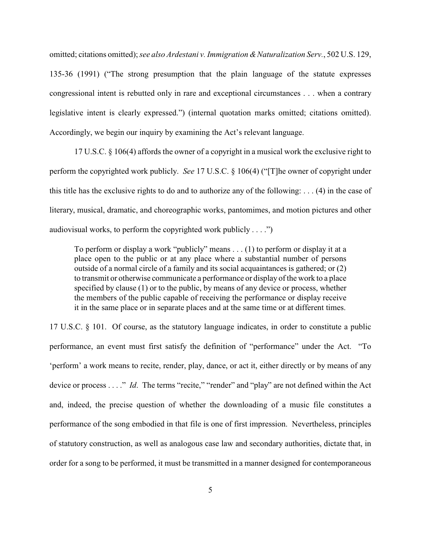omitted; citations omitted); *see also Ardestani v. Immigration &Naturalization Serv.*, 502 U.S. 129, 135-36 (1991) ("The strong presumption that the plain language of the statute expresses congressional intent is rebutted only in rare and exceptional circumstances . . . when a contrary legislative intent is clearly expressed.") (internal quotation marks omitted; citations omitted). Accordingly, we begin our inquiry by examining the Act's relevant language.

17 U.S.C. § 106(4) affords the owner of a copyright in a musical work the exclusive right to perform the copyrighted work publicly. *See* 17 U.S.C. § 106(4) ("[T]he owner of copyright under this title has the exclusive rights to do and to authorize any of the following: . . . (4) in the case of literary, musical, dramatic, and choreographic works, pantomimes, and motion pictures and other audiovisual works, to perform the copyrighted work publicly  $\dots$ .")

To perform or display a work "publicly" means . . . (1) to perform or display it at a place open to the public or at any place where a substantial number of persons outside of a normal circle of a family and its social acquaintances is gathered; or (2) to transmit or otherwise communicate a performance or display of the work to a place specified by clause (1) or to the public, by means of any device or process, whether the members of the public capable of receiving the performance or display receive it in the same place or in separate places and at the same time or at different times.

17 U.S.C. § 101. Of course, as the statutory language indicates, in order to constitute a public performance, an event must first satisfy the definition of "performance" under the Act. "To 'perform' a work means to recite, render, play, dance, or act it, either directly or by means of any device or process . . . ." *Id*. The terms "recite," "render" and "play" are not defined within the Act and, indeed, the precise question of whether the downloading of a music file constitutes a performance of the song embodied in that file is one of first impression. Nevertheless, principles of statutory construction, as well as analogous case law and secondary authorities, dictate that, in order for a song to be performed, it must be transmitted in a manner designed for contemporaneous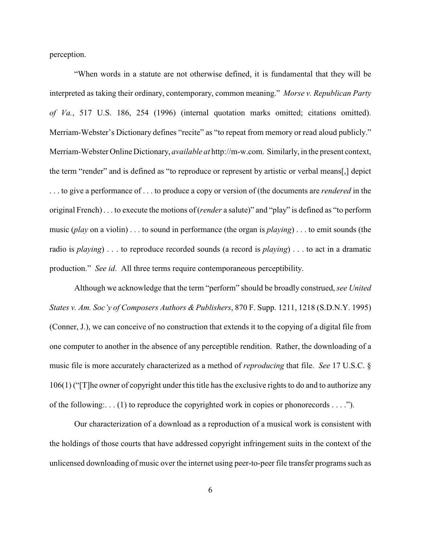perception.

"When words in a statute are not otherwise defined, it is fundamental that they will be interpreted as taking their ordinary, contemporary, common meaning." *Morse v. Republican Party of Va.*, 517 U.S. 186, 254 (1996) (internal quotation marks omitted; citations omitted). Merriam-Webster's Dictionary defines "recite" as "to repeat from memory or read aloud publicly." Merriam-Webster Online Dictionary, *available at* http://m-w.com. Similarly, in the present context, the term "render" and is defined as "to reproduce or represent by artistic or verbal means[,] depict . . . to give a performance of . . . to produce a copy or version of (the documents are *rendered* in the original French) . . . to execute the motions of (*render* a salute)" and "play" is defined as "to perform music (*play* on a violin) . . . to sound in performance (the organ is *playing*) . . . to emit sounds (the radio is *playing*) . . . to reproduce recorded sounds (a record is *playing*) . . . to act in a dramatic production." *See id*. All three terms require contemporaneous perceptibility.

Although we acknowledge that the term "perform" should be broadly construed, *see United States v. Am. Soc'y of Composers Authors & Publishers*, 870 F. Supp. 1211, 1218 (S.D.N.Y. 1995) (Conner, J.), we can conceive of no construction that extends it to the copying of a digital file from one computer to another in the absence of any perceptible rendition. Rather, the downloading of a music file is more accurately characterized as a method of *reproducing* that file. *See* 17 U.S.C. § 106(1) ("[T]he owner of copyright under this title has the exclusive rights to do and to authorize any of the following:. . . (1) to reproduce the copyrighted work in copies or phonorecords . . . .").

Our characterization of a download as a reproduction of a musical work is consistent with the holdings of those courts that have addressed copyright infringement suits in the context of the unlicensed downloading of music over the internet using peer-to-peer file transfer programs such as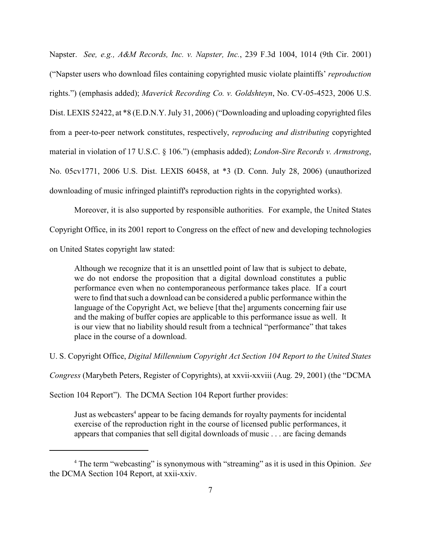Napster. *See, e.g., A&M Records, Inc. v. Napster, Inc.*, 239 F.3d 1004, 1014 (9th Cir. 2001) ("Napster users who download files containing copyrighted music violate plaintiffs' *reproduction* rights.") (emphasis added); *Maverick Recording Co. v. Goldshteyn*, No. CV-05-4523, 2006 U.S. Dist. LEXIS 52422, at \*8 (E.D.N.Y. July 31, 2006) ("Downloading and uploading copyrighted files from a peer-to-peer network constitutes, respectively, *reproducing and distributing* copyrighted material in violation of 17 U.S.C. § 106.") (emphasis added); *London-Sire Records v. Armstrong*, No. 05cv1771, 2006 U.S. Dist. LEXIS 60458, at \*3 (D. Conn. July 28, 2006) (unauthorized downloading of music infringed plaintiff's reproduction rights in the copyrighted works).

Moreover, it is also supported by responsible authorities. For example, the United States Copyright Office, in its 2001 report to Congress on the effect of new and developing technologies on United States copyright law stated:

Although we recognize that it is an unsettled point of law that is subject to debate, we do not endorse the proposition that a digital download constitutes a public performance even when no contemporaneous performance takes place. If a court were to find that such a download can be considered a public performance within the language of the Copyright Act, we believe [that the] arguments concerning fair use and the making of buffer copies are applicable to this performance issue as well. It is our view that no liability should result from a technical "performance" that takes place in the course of a download.

U. S. Copyright Office, *Digital Millennium Copyright Act Section 104 Report to the United States*

*Congress* (Marybeth Peters, Register of Copyrights), at xxvii-xxviii (Aug. 29, 2001) (the "DCMA

Section 104 Report"). The DCMA Section 104 Report further provides:

Just as webcasters<sup>4</sup> appear to be facing demands for royalty payments for incidental exercise of the reproduction right in the course of licensed public performances, it appears that companies that sell digital downloads of music . . . are facing demands

<sup>&</sup>lt;sup>4</sup> The term "webcasting" is synonymous with "streaming" as it is used in this Opinion. *See* the DCMA Section 104 Report, at xxii-xxiv.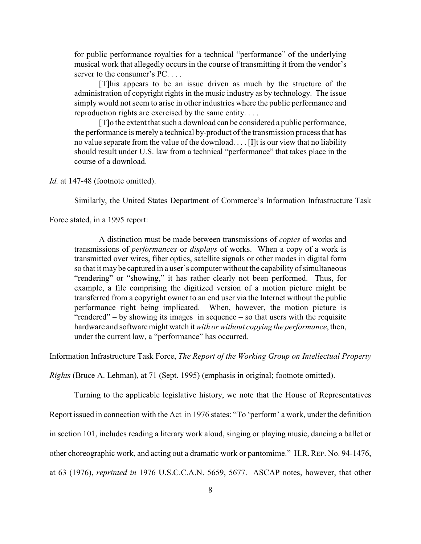for public performance royalties for a technical "performance" of the underlying musical work that allegedly occurs in the course of transmitting it from the vendor's server to the consumer's PC....

[T]his appears to be an issue driven as much by the structure of the administration of copyright rights in the music industry as by technology. The issue simply would not seem to arise in other industries where the public performance and reproduction rights are exercised by the same entity. . . .

[T]o the extent that such a download can be considered a public performance, the performance is merely a technical by-product ofthe transmission process that has no value separate from the value of the download. . . . [I]t is our view that no liability should result under U.S. law from a technical "performance" that takes place in the course of a download.

*Id.* at 147-48 (footnote omitted).

Similarly, the United States Department of Commerce's Information Infrastructure Task

Force stated, in a 1995 report:

A distinction must be made between transmissions of *copies* of works and transmissions of *performances* or *displays* of works. When a copy of a work is transmitted over wires, fiber optics, satellite signals or other modes in digital form so that it may be captured in a user's computer without the capability of simultaneous "rendering" or "showing," it has rather clearly not been performed. Thus, for example, a file comprising the digitized version of a motion picture might be transferred from a copyright owner to an end user via the Internet without the public performance right being implicated. When, however, the motion picture is "rendered" – by showing its images in sequence – so that users with the requisite hardware and software might watch it*with or without copying the performance*, then, under the current law, a "performance" has occurred.

Information Infrastructure Task Force, *The Report of the Working Group on Intellectual Property*

*Rights* (Bruce A. Lehman), at 71 (Sept. 1995) (emphasis in original; footnote omitted).

Turning to the applicable legislative history, we note that the House of Representatives

Report issued in connection with the Act in 1976 states: "To 'perform' a work, under the definition

in section 101, includes reading a literary work aloud, singing or playing music, dancing a ballet or

other choreographic work, and acting out a dramatic work or pantomime." H.R.REP. No. 94-1476,

at 63 (1976), *reprinted in* 1976 U.S.C.C.A.N. 5659, 5677. ASCAP notes, however, that other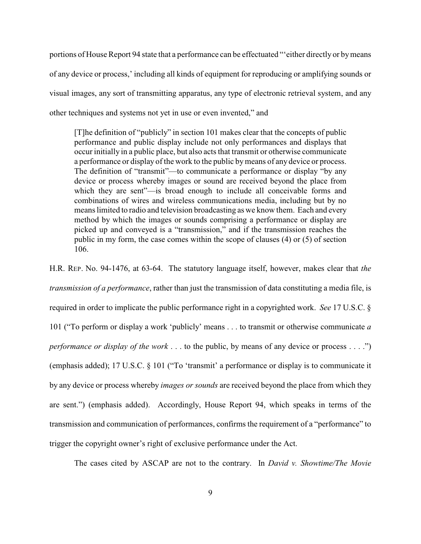portions of House Report 94 state that a performance can be effectuated "'either directly or by means of any device or process,' including all kinds of equipment for reproducing or amplifying sounds or visual images, any sort of transmitting apparatus, any type of electronic retrieval system, and any other techniques and systems not yet in use or even invented," and

[T]he definition of "publicly" in section 101 makes clear that the concepts of public performance and public display include not only performances and displays that occur initially in a public place, but also acts that transmit or otherwise communicate a performance or display of the work to the public bymeans of any device or process. The definition of "transmit"—to communicate a performance or display "by any device or process whereby images or sound are received beyond the place from which they are sent"—is broad enough to include all conceivable forms and combinations of wires and wireless communications media, including but by no means limited to radio and television broadcasting as we know them. Each and every method by which the images or sounds comprising a performance or display are picked up and conveyed is a "transmission," and if the transmission reaches the public in my form, the case comes within the scope of clauses (4) or (5) of section 106.

H.R. REP. No. 94-1476, at 63-64. The statutory language itself, however, makes clear that *the transmission of a performance*, rather than just the transmission of data constituting a media file, is required in order to implicate the public performance right in a copyrighted work. *See* 17 U.S.C. § 101 ("To perform or display a work 'publicly' means . . . to transmit or otherwise communicate *a performance or display of the work* . . . to the public, by means of any device or process . . . .") (emphasis added); 17 U.S.C. § 101 ("To 'transmit' a performance or display is to communicate it by any device or process whereby *images or sounds* are received beyond the place from which they are sent.") (emphasis added). Accordingly, House Report 94, which speaks in terms of the transmission and communication of performances, confirms the requirement of a "performance" to trigger the copyright owner's right of exclusive performance under the Act.

The cases cited by ASCAP are not to the contrary. In *David v. Showtime/The Movie*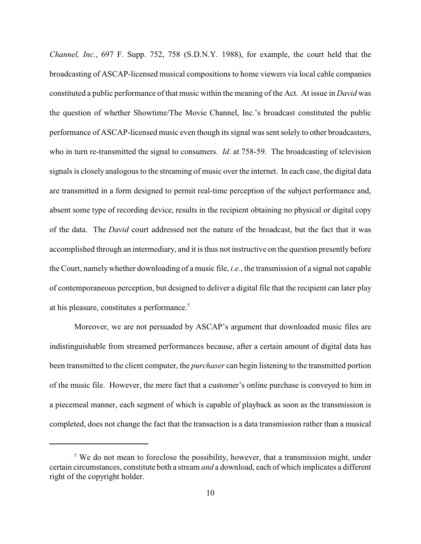*Channel, Inc.*, 697 F. Supp. 752, 758 (S.D.N.Y. 1988), for example, the court held that the broadcasting of ASCAP-licensed musical compositions to home viewers via local cable companies constituted a public performance of that music within the meaning of the Act. At issue in *David* was the question of whether Showtime/The Movie Channel, Inc.'s broadcast constituted the public performance of ASCAP-licensed music even though its signal was sent solely to other broadcasters, who in turn re-transmitted the signal to consumers. *Id.* at 758-59. The broadcasting of television signals is closely analogous to the streaming of music over the internet. In each case, the digital data are transmitted in a form designed to permit real-time perception of the subject performance and, absent some type of recording device, results in the recipient obtaining no physical or digital copy of the data. The *David* court addressed not the nature of the broadcast, but the fact that it was accomplished through an intermediary, and it is thus not instructive on the question presently before the Court, namely whether downloading of a music file, *i.e.*, the transmission of a signal not capable of contemporaneous perception, but designed to deliver a digital file that the recipient can later play at his pleasure, constitutes a performance.<sup>5</sup>

Moreover, we are not persuaded by ASCAP's argument that downloaded music files are indistinguishable from streamed performances because, after a certain amount of digital data has been transmitted to the client computer, the *purchaser* can begin listening to the transmitted portion of the music file. However, the mere fact that a customer's online purchase is conveyed to him in a piecemeal manner, each segment of which is capable of playback as soon as the transmission is completed, does not change the fact that the transaction is a data transmission rather than a musical

 $5$  We do not mean to foreclose the possibility, however, that a transmission might, under certain circumstances, constitute both a stream *and* a download, each of which implicates a different right of the copyright holder.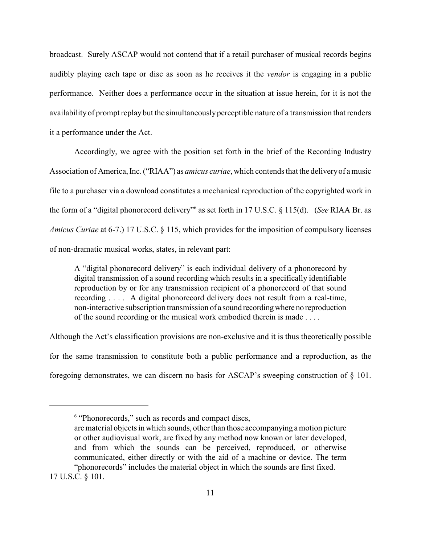broadcast. Surely ASCAP would not contend that if a retail purchaser of musical records begins audibly playing each tape or disc as soon as he receives it the *vendor* is engaging in a public performance. Neither does a performance occur in the situation at issue herein, for it is not the availability of prompt replay but the simultaneously perceptible nature of a transmission that renders it a performance under the Act.

Accordingly, we agree with the position set forth in the brief of the Recording Industry Association of America, Inc. ("RIAA") as *amicus curiae*, which contends that the delivery of a music file to a purchaser via a download constitutes a mechanical reproduction of the copyrighted work in the form of a "digital phonorecord delivery" as set forth in 17 U.S.C. § 115(d). (*See* RIAA Br. as *Amicus Curiae* at 6-7.) 17 U.S.C. § 115, which provides for the imposition of compulsory licenses of non-dramatic musical works, states, in relevant part:

A "digital phonorecord delivery" is each individual delivery of a phonorecord by digital transmission of a sound recording which results in a specifically identifiable reproduction by or for any transmission recipient of a phonorecord of that sound recording . . . . A digital phonorecord delivery does not result from a real-time, non-interactive subscription transmission of a sound recording where no reproduction of the sound recording or the musical work embodied therein is made . . . .

Although the Act's classification provisions are non-exclusive and it is thus theoretically possible for the same transmission to constitute both a public performance and a reproduction, as the foregoing demonstrates, we can discern no basis for ASCAP's sweeping construction of § 101.

 $6$  "Phonorecords," such as records and compact discs,

are material objects in which sounds, other than those accompanying a motion picture or other audiovisual work, are fixed by any method now known or later developed, and from which the sounds can be perceived, reproduced, or otherwise communicated, either directly or with the aid of a machine or device. The term "phonorecords" includes the material object in which the sounds are first fixed.

<sup>17</sup> U.S.C. § 101.